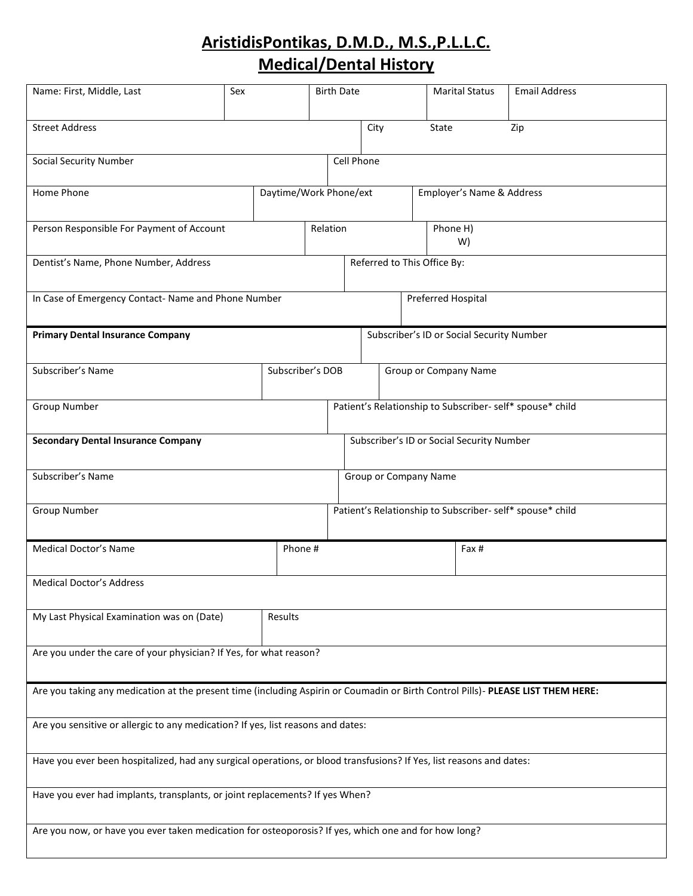# **AristidisPontikas, D.M.D., M.S.,P.L.L.C. Medical/Dental History**

| Name: First, Middle, Last                                                                                                        | Sex | <b>Birth Date</b> |                        |                                                           |                                           | <b>Marital Status</b> | <b>Email Address</b>      |                                                           |  |
|----------------------------------------------------------------------------------------------------------------------------------|-----|-------------------|------------------------|-----------------------------------------------------------|-------------------------------------------|-----------------------|---------------------------|-----------------------------------------------------------|--|
| <b>Street Address</b>                                                                                                            |     |                   |                        | City                                                      |                                           | State                 |                           | Zip                                                       |  |
| <b>Social Security Number</b>                                                                                                    |     |                   | Cell Phone             |                                                           |                                           |                       |                           |                                                           |  |
| Home Phone                                                                                                                       |     |                   | Daytime/Work Phone/ext |                                                           |                                           |                       | Employer's Name & Address |                                                           |  |
| Person Responsible For Payment of Account                                                                                        |     |                   | Relation               |                                                           |                                           |                       | Phone H)<br>W)            |                                                           |  |
| Dentist's Name, Phone Number, Address                                                                                            |     |                   |                        | Referred to This Office By:                               |                                           |                       |                           |                                                           |  |
| In Case of Emergency Contact- Name and Phone Number                                                                              |     |                   |                        |                                                           |                                           |                       | Preferred Hospital        |                                                           |  |
| <b>Primary Dental Insurance Company</b>                                                                                          |     |                   |                        |                                                           | Subscriber's ID or Social Security Number |                       |                           |                                                           |  |
| Subscriber's Name<br>Subscriber's DOB                                                                                            |     |                   |                        | Group or Company Name                                     |                                           |                       |                           |                                                           |  |
| <b>Group Number</b>                                                                                                              |     |                   |                        | Patient's Relationship to Subscriber- self* spouse* child |                                           |                       |                           |                                                           |  |
| Subscriber's ID or Social Security Number<br><b>Secondary Dental Insurance Company</b>                                           |     |                   |                        |                                                           |                                           |                       |                           |                                                           |  |
| Subscriber's Name                                                                                                                |     |                   |                        | <b>Group or Company Name</b>                              |                                           |                       |                           |                                                           |  |
| Group Number                                                                                                                     |     |                   |                        |                                                           |                                           |                       |                           | Patient's Relationship to Subscriber- self* spouse* child |  |
| <b>Medical Doctor's Name</b>                                                                                                     |     | Phone#            |                        |                                                           |                                           |                       | Fax #                     |                                                           |  |
| <b>Medical Doctor's Address</b>                                                                                                  |     |                   |                        |                                                           |                                           |                       |                           |                                                           |  |
| My Last Physical Examination was on (Date)<br>Results                                                                            |     |                   |                        |                                                           |                                           |                       |                           |                                                           |  |
| Are you under the care of your physician? If Yes, for what reason?                                                               |     |                   |                        |                                                           |                                           |                       |                           |                                                           |  |
| Are you taking any medication at the present time (including Aspirin or Coumadin or Birth Control Pills)- PLEASE LIST THEM HERE: |     |                   |                        |                                                           |                                           |                       |                           |                                                           |  |
| Are you sensitive or allergic to any medication? If yes, list reasons and dates:                                                 |     |                   |                        |                                                           |                                           |                       |                           |                                                           |  |
| Have you ever been hospitalized, had any surgical operations, or blood transfusions? If Yes, list reasons and dates:             |     |                   |                        |                                                           |                                           |                       |                           |                                                           |  |
| Have you ever had implants, transplants, or joint replacements? If yes When?                                                     |     |                   |                        |                                                           |                                           |                       |                           |                                                           |  |
| Are you now, or have you ever taken medication for osteoporosis? If yes, which one and for how long?                             |     |                   |                        |                                                           |                                           |                       |                           |                                                           |  |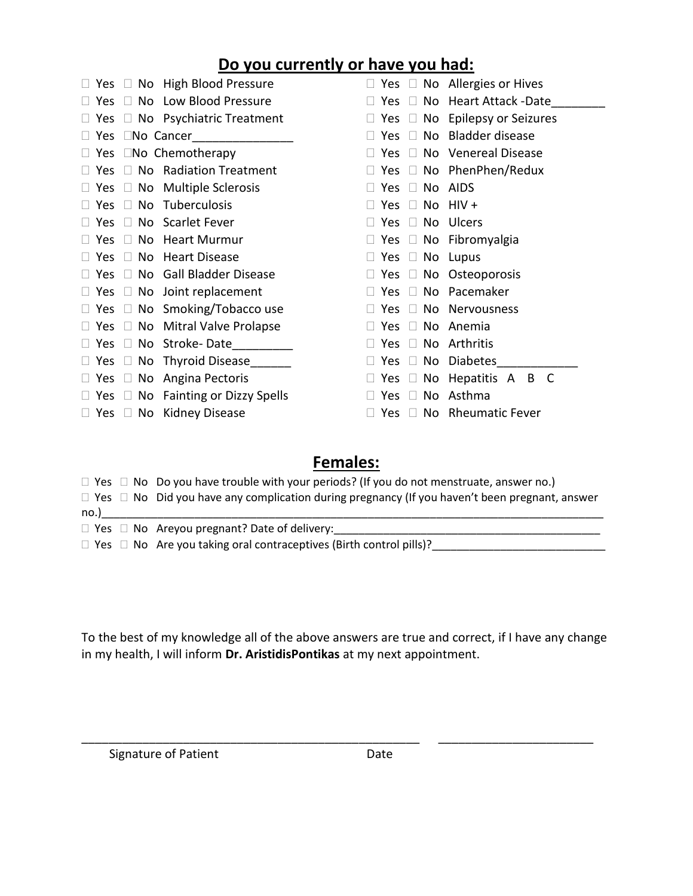### **Do you currently or have you had:**

|               | $\Box$ Yes $\Box$ No High Blood Pressure      |            |               |                            | $\Box$ Yes $\Box$ No Allergies or Hives   |
|---------------|-----------------------------------------------|------------|---------------|----------------------------|-------------------------------------------|
|               | $\Box$ Yes $\Box$ No Low Blood Pressure       |            |               |                            | $\Box$ Yes $\Box$ No Heart Attack -Date   |
|               | $\Box$ Yes $\Box$ No Psychiatric Treatment    |            |               |                            | $\Box$ Yes $\Box$ No Epilepsy or Seizures |
|               | $\Box$ Yes $\Box$ No Cancer                   | $\Box$ Yes |               |                            | $\Box$ No Bladder disease                 |
|               | $\Box$ Yes $\Box$ No Chemotherapy             |            | Yes $\square$ |                            | No Venereal Disease                       |
|               | $\Box$ Yes $\Box$ No Radiation Treatment      | $\Box$     |               |                            | Yes $\Box$ No PhenPhen/Redux              |
|               | $\Box$ Yes $\Box$ No Multiple Sclerosis       |            | Yes.          | $\Box$                     | No AIDS                                   |
| Yes $\square$ | No Tuberculosis                               |            | Yes           | $\Box$                     | No $HIV +$                                |
|               | $\Box$ Yes $\Box$ No Scarlet Fever            |            | Yes           | $\Box$                     | No Ulcers                                 |
|               | Yes $\Box$ No Heart Murmur                    |            |               |                            | $\Box$ Yes $\Box$ No Fibromyalgia         |
|               | $\Box$ Yes $\Box$ No Heart Disease            |            |               | $\Box$ Yes $\Box$ No Lupus |                                           |
|               | $\Box$ Yes $\Box$ No Gall Bladder Disease     |            |               |                            | $\Box$ Yes $\Box$ No Osteoporosis         |
|               | $\Box$ Yes $\Box$ No Joint replacement        | $\Box$ Yes |               |                            | □ No Pacemaker                            |
|               | $\Box$ Yes $\Box$ No Smoking/Tobacco use      |            | Yes.          | $\Box$                     | No Nervousness                            |
|               | $\Box$ Yes $\Box$ No Mitral Valve Prolapse    | $\Box$     | Yes.          | $\Box$                     | No Anemia                                 |
|               | $\Box$ Yes $\Box$ No Stroke-Date              |            | Yes.          | $\Box$                     | No Arthritis                              |
|               | $\Box$ Yes $\Box$ No Thyroid Disease          | $\Box$     |               |                            | Yes $\square$ No Diabetes                 |
|               | $\Box$ Yes $\Box$ No Angina Pectoris          |            |               |                            | $\Box$ Yes $\Box$ No Hepatitis A B C      |
|               | $\Box$ Yes $\Box$ No Fainting or Dizzy Spells |            | Yes.          | $\Box$                     | No Asthma                                 |
|               | $\Box$ Yes $\Box$ No Kidney Disease           |            |               |                            | Yes $\Box$ No Rheumatic Fever             |

### **Females:**

- $\Box$  Yes  $\Box$  No Do you have trouble with your periods? (If you do not menstruate, answer no.)  $\Box$  Yes  $\Box$  No Did you have any complication during pregnancy (If you haven't been pregnant, answer  $\mathsf{no}.)$ Yes No Areyou pregnant? Date of delivery:\_\_\_\_\_\_\_\_\_\_\_\_\_\_\_\_\_\_\_\_\_\_\_\_\_\_\_\_\_\_\_\_\_\_\_\_\_\_\_\_\_\_\_
- Yes No Are you taking oral contraceptives (Birth control pills)?\_\_\_\_\_\_\_\_\_\_\_\_\_\_\_\_\_\_\_\_\_\_\_\_\_\_\_\_

To the best of my knowledge all of the above answers are true and correct, if I have any change in my health, I will inform **Dr. AristidisPontikas** at my next appointment.

\_\_\_\_\_\_\_\_\_\_\_\_\_\_\_\_\_\_\_\_\_\_\_\_\_\_\_\_\_\_\_\_\_\_\_\_\_\_\_\_\_\_\_\_\_\_\_\_\_\_ \_\_\_\_\_\_\_\_\_\_\_\_\_\_\_\_\_\_\_\_\_\_\_

Signature of Patient **Date** Date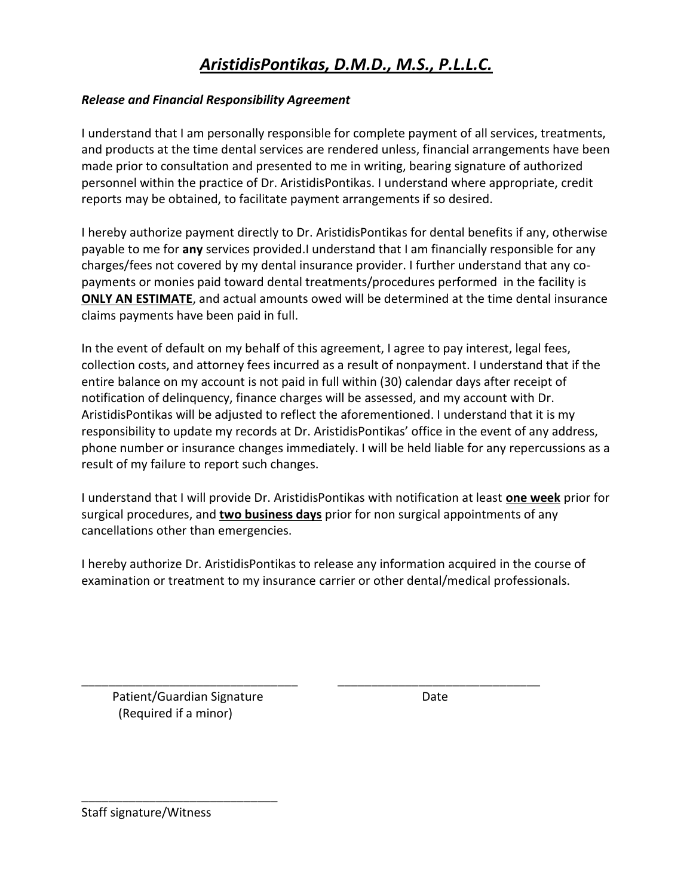## *AristidisPontikas, D.M.D., M.S., P.L.L.C.*

### *Release and Financial Responsibility Agreement*

I understand that I am personally responsible for complete payment of all services, treatments, and products at the time dental services are rendered unless, financial arrangements have been made prior to consultation and presented to me in writing, bearing signature of authorized personnel within the practice of Dr. AristidisPontikas. I understand where appropriate, credit reports may be obtained, to facilitate payment arrangements if so desired.

I hereby authorize payment directly to Dr. AristidisPontikas for dental benefits if any, otherwise payable to me for **any** services provided.I understand that I am financially responsible for any charges/fees not covered by my dental insurance provider. I further understand that any copayments or monies paid toward dental treatments/procedures performed in the facility is **ONLY AN ESTIMATE**, and actual amounts owed will be determined at the time dental insurance claims payments have been paid in full.

In the event of default on my behalf of this agreement, I agree to pay interest, legal fees, collection costs, and attorney fees incurred as a result of nonpayment. I understand that if the entire balance on my account is not paid in full within (30) calendar days after receipt of notification of delinquency, finance charges will be assessed, and my account with Dr. AristidisPontikas will be adjusted to reflect the aforementioned. I understand that it is my responsibility to update my records at Dr. AristidisPontikas' office in the event of any address, phone number or insurance changes immediately. I will be held liable for any repercussions as a result of my failure to report such changes.

I understand that I will provide Dr. AristidisPontikas with notification at least **one week** prior for surgical procedures, and **two business days** prior for non surgical appointments of any cancellations other than emergencies.

I hereby authorize Dr. AristidisPontikas to release any information acquired in the course of examination or treatment to my insurance carrier or other dental/medical professionals.

\_\_\_\_\_\_\_\_\_\_\_\_\_\_\_\_\_\_\_\_\_\_\_\_\_\_\_\_\_\_\_\_ \_\_\_\_\_\_\_\_\_\_\_\_\_\_\_\_\_\_\_\_\_\_\_\_\_\_\_\_\_\_ Patient/Guardian Signature description of the Date (Required if a minor)

\_\_\_\_\_\_\_\_\_\_\_\_\_\_\_\_\_\_\_\_\_\_\_\_\_\_\_\_\_

Staff signature/Witness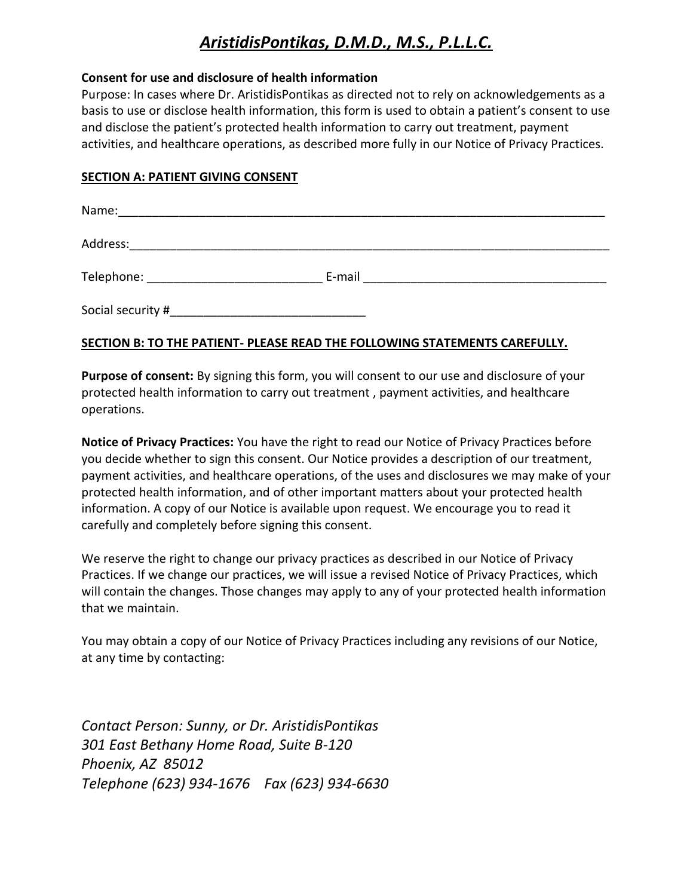## *AristidisPontikas, D.M.D., M.S., P.L.L.C.*

#### **Consent for use and disclosure of health information**

Purpose: In cases where Dr. AristidisPontikas as directed not to rely on acknowledgements as a basis to use or disclose health information, this form is used to obtain a patient's consent to use and disclose the patient's protected health information to carry out treatment, payment activities, and healthcare operations, as described more fully in our Notice of Privacy Practices.

### **SECTION A: PATIENT GIVING CONSENT**

| Name:                                    |        |
|------------------------------------------|--------|
| Address:                                 |        |
| Telephone: _____________________________ | E-mail |
| Social security #                        |        |

### **SECTION B: TO THE PATIENT- PLEASE READ THE FOLLOWING STATEMENTS CAREFULLY.**

**Purpose of consent:** By signing this form, you will consent to our use and disclosure of your protected health information to carry out treatment , payment activities, and healthcare operations.

**Notice of Privacy Practices:** You have the right to read our Notice of Privacy Practices before you decide whether to sign this consent. Our Notice provides a description of our treatment, payment activities, and healthcare operations, of the uses and disclosures we may make of your protected health information, and of other important matters about your protected health information. A copy of our Notice is available upon request. We encourage you to read it carefully and completely before signing this consent.

We reserve the right to change our privacy practices as described in our Notice of Privacy Practices. If we change our practices, we will issue a revised Notice of Privacy Practices, which will contain the changes. Those changes may apply to any of your protected health information that we maintain.

You may obtain a copy of our Notice of Privacy Practices including any revisions of our Notice, at any time by contacting:

*Contact Person: Sunny, or Dr. AristidisPontikas 301 East Bethany Home Road, Suite B-120 Phoenix, AZ 85012 Telephone (623) 934-1676 Fax (623) 934-6630*